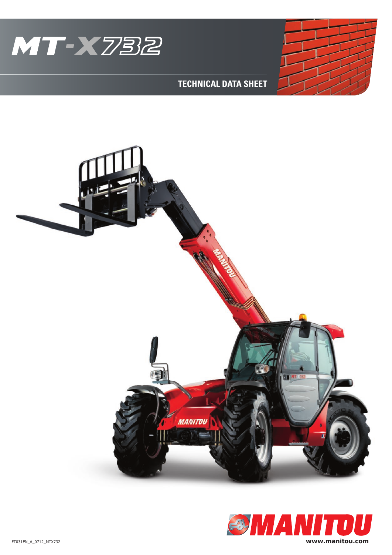

## **TECHNICAL DATA SHEET**